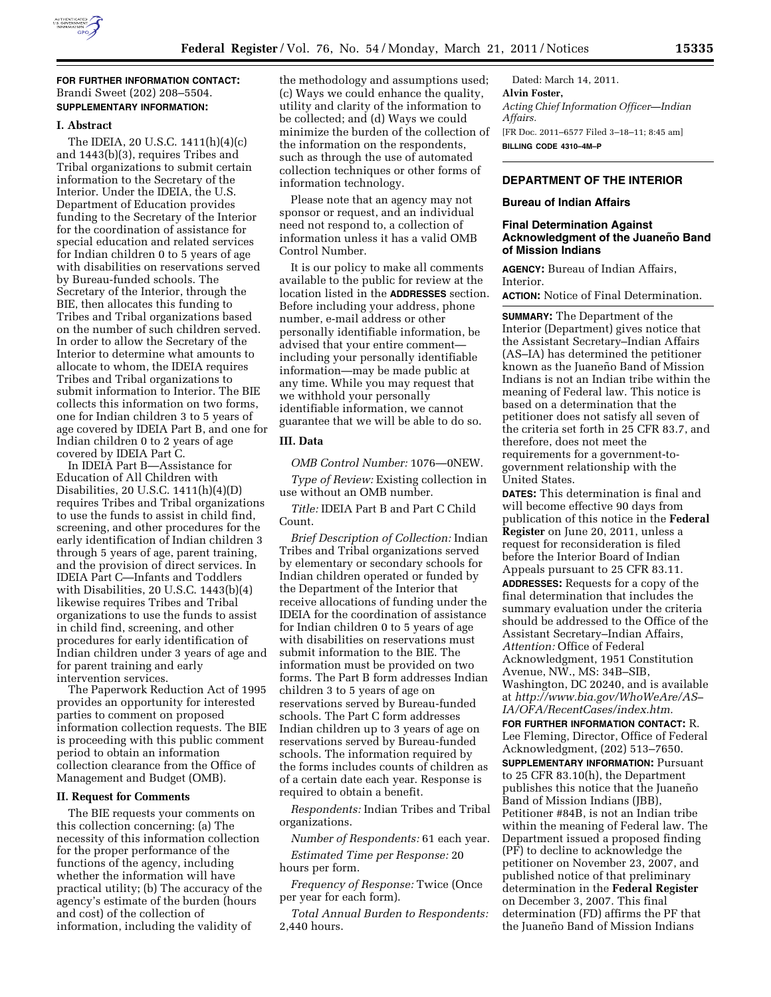

**FOR FURTHER INFORMATION CONTACT:**  Brandi Sweet (202) 208–5504. **SUPPLEMENTARY INFORMATION:** 

### **I. Abstract**

The IDEIA, 20 U.S.C. 1411(h)(4)(c) and 1443(b)(3), requires Tribes and Tribal organizations to submit certain information to the Secretary of the Interior. Under the IDEIA, the U.S. Department of Education provides funding to the Secretary of the Interior for the coordination of assistance for special education and related services for Indian children 0 to 5 years of age with disabilities on reservations served by Bureau-funded schools. The Secretary of the Interior, through the BIE, then allocates this funding to Tribes and Tribal organizations based on the number of such children served. In order to allow the Secretary of the Interior to determine what amounts to allocate to whom, the IDEIA requires Tribes and Tribal organizations to submit information to Interior. The BIE collects this information on two forms, one for Indian children 3 to 5 years of age covered by IDEIA Part B, and one for Indian children 0 to 2 years of age covered by IDEIA Part C.

In IDEIA Part B—Assistance for Education of All Children with Disabilities, 20 U.S.C. 1411(h)(4)(D) requires Tribes and Tribal organizations to use the funds to assist in child find, screening, and other procedures for the early identification of Indian children 3 through 5 years of age, parent training, and the provision of direct services. In IDEIA Part C—Infants and Toddlers with Disabilities, 20 U.S.C. 1443(b)(4) likewise requires Tribes and Tribal organizations to use the funds to assist in child find, screening, and other procedures for early identification of Indian children under 3 years of age and for parent training and early intervention services.

The Paperwork Reduction Act of 1995 provides an opportunity for interested parties to comment on proposed information collection requests. The BIE is proceeding with this public comment period to obtain an information collection clearance from the Office of Management and Budget (OMB).

## **II. Request for Comments**

The BIE requests your comments on this collection concerning: (a) The necessity of this information collection for the proper performance of the functions of the agency, including whether the information will have practical utility; (b) The accuracy of the agency's estimate of the burden (hours and cost) of the collection of information, including the validity of

the methodology and assumptions used; (c) Ways we could enhance the quality, utility and clarity of the information to be collected; and (d) Ways we could minimize the burden of the collection of the information on the respondents, such as through the use of automated collection techniques or other forms of information technology.

Please note that an agency may not sponsor or request, and an individual need not respond to, a collection of information unless it has a valid OMB Control Number.

It is our policy to make all comments available to the public for review at the location listed in the **ADDRESSES** section. Before including your address, phone number, e-mail address or other personally identifiable information, be advised that your entire comment including your personally identifiable information—may be made public at any time. While you may request that we withhold your personally identifiable information, we cannot guarantee that we will be able to do so.

## **III. Data**

*OMB Control Number:* 1076—0NEW.

*Type of Review:* Existing collection in use without an OMB number.

*Title:* IDEIA Part B and Part C Child Count.

*Brief Description of Collection:* Indian Tribes and Tribal organizations served by elementary or secondary schools for Indian children operated or funded by the Department of the Interior that receive allocations of funding under the IDEIA for the coordination of assistance for Indian children 0 to 5 years of age with disabilities on reservations must submit information to the BIE. The information must be provided on two forms. The Part B form addresses Indian children 3 to 5 years of age on reservations served by Bureau-funded schools. The Part C form addresses Indian children up to 3 years of age on reservations served by Bureau-funded schools. The information required by the forms includes counts of children as of a certain date each year. Response is required to obtain a benefit.

*Respondents:* Indian Tribes and Tribal organizations.

*Number of Respondents:* 61 each year.

*Estimated Time per Response:* 20 hours per form.

*Frequency of Response:* Twice (Once per year for each form).

*Total Annual Burden to Respondents:*  2,440 hours.

Dated: March 14, 2011. **Alvin Foster,**  *Acting Chief Information Officer—Indian Affairs.*  [FR Doc. 2011–6577 Filed 3–18–11; 8:45 am] **BILLING CODE 4310–4M–P** 

# **DEPARTMENT OF THE INTERIOR**

#### **Bureau of Indian Affairs**

#### **Final Determination Against Acknowledgment of the Juaneño Band of Mission Indians**

**AGENCY:** Bureau of Indian Affairs, Interior.

**ACTION:** Notice of Final Determination.

**SUMMARY:** The Department of the Interior (Department) gives notice that the Assistant Secretary–Indian Affairs (AS–IA) has determined the petitioner known as the Juaneño Band of Mission Indians is not an Indian tribe within the meaning of Federal law. This notice is based on a determination that the petitioner does not satisfy all seven of the criteria set forth in 25 CFR 83.7, and therefore, does not meet the requirements for a government-togovernment relationship with the United States.

**DATES:** This determination is final and will become effective 90 days from publication of this notice in the **Federal Register** on June 20, 2011, unless a request for reconsideration is filed before the Interior Board of Indian Appeals pursuant to 25 CFR 83.11. **ADDRESSES:** Requests for a copy of the final determination that includes the summary evaluation under the criteria should be addressed to the Office of the Assistant Secretary–Indian Affairs, *Attention:* Office of Federal Acknowledgment, 1951 Constitution Avenue, NW., MS: 34B–SIB, Washington, DC 20240, and is available at *[http://www.bia.gov/WhoWeAre/AS–](http://www.bia.gov/WhoWeAre/AS-IA/OFA/RecentCases/index.htm)  [IA/OFA/RecentCases/index.htm.](http://www.bia.gov/WhoWeAre/AS-IA/OFA/RecentCases/index.htm)* 

**FOR FURTHER INFORMATION CONTACT:** R. Lee Fleming, Director, Office of Federal Acknowledgment, (202) 513–7650. **SUPPLEMENTARY INFORMATION:** Pursuant to 25 CFR 83.10(h), the Department publishes this notice that the Juaneño Band of Mission Indians (JBB), Petitioner #84B, is not an Indian tribe within the meaning of Federal law. The Department issued a proposed finding (PF) to decline to acknowledge the petitioner on November 23, 2007, and published notice of that preliminary determination in the **Federal Register**  on December 3, 2007. This final determination (FD) affirms the PF that the Juaneño Band of Mission Indians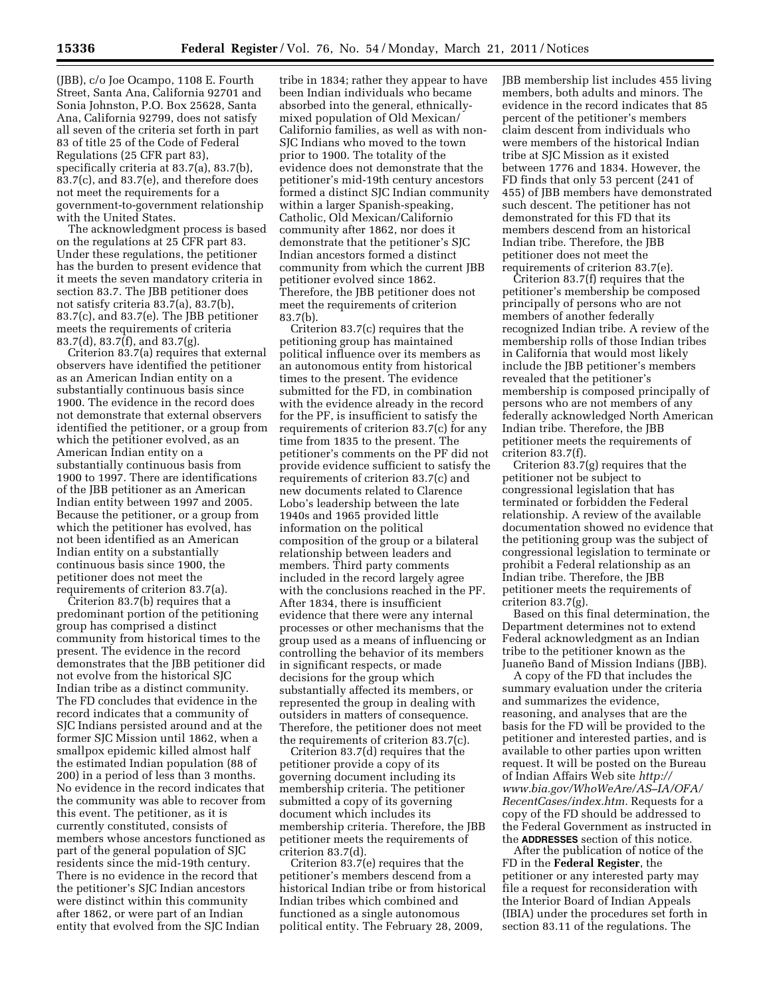(JBB), c/o Joe Ocampo, 1108 E. Fourth Street, Santa Ana, California 92701 and Sonia Johnston, P.O. Box 25628, Santa Ana, California 92799, does not satisfy all seven of the criteria set forth in part 83 of title 25 of the Code of Federal Regulations (25 CFR part 83), specifically criteria at 83.7(a), 83.7(b), 83.7(c), and 83.7(e), and therefore does not meet the requirements for a government-to-government relationship with the United States.

The acknowledgment process is based on the regulations at 25 CFR part 83. Under these regulations, the petitioner has the burden to present evidence that it meets the seven mandatory criteria in section 83.7. The JBB petitioner does not satisfy criteria 83.7(a), 83.7(b), 83.7(c), and 83.7(e). The JBB petitioner meets the requirements of criteria 83.7(d), 83.7(f), and 83.7(g).

Criterion 83.7(a) requires that external observers have identified the petitioner as an American Indian entity on a substantially continuous basis since 1900. The evidence in the record does not demonstrate that external observers identified the petitioner, or a group from which the petitioner evolved, as an American Indian entity on a substantially continuous basis from 1900 to 1997. There are identifications of the JBB petitioner as an American Indian entity between 1997 and 2005. Because the petitioner, or a group from which the petitioner has evolved, has not been identified as an American Indian entity on a substantially continuous basis since 1900, the petitioner does not meet the requirements of criterion 83.7(a).

Criterion 83.7(b) requires that a predominant portion of the petitioning group has comprised a distinct community from historical times to the present. The evidence in the record demonstrates that the JBB petitioner did not evolve from the historical SJC Indian tribe as a distinct community. The FD concludes that evidence in the record indicates that a community of SJC Indians persisted around and at the former SJC Mission until 1862, when a smallpox epidemic killed almost half the estimated Indian population (88 of 200) in a period of less than 3 months. No evidence in the record indicates that the community was able to recover from this event. The petitioner, as it is currently constituted, consists of members whose ancestors functioned as part of the general population of SJC residents since the mid-19th century. There is no evidence in the record that the petitioner's SJC Indian ancestors were distinct within this community after 1862, or were part of an Indian entity that evolved from the SJC Indian

tribe in 1834; rather they appear to have been Indian individuals who became absorbed into the general, ethnicallymixed population of Old Mexican/ Californio families, as well as with non-SJC Indians who moved to the town prior to 1900. The totality of the evidence does not demonstrate that the petitioner's mid-19th century ancestors formed a distinct SJC Indian community within a larger Spanish-speaking, Catholic, Old Mexican/Californio community after 1862, nor does it demonstrate that the petitioner's SJC Indian ancestors formed a distinct community from which the current JBB petitioner evolved since 1862. Therefore, the JBB petitioner does not meet the requirements of criterion 83.7(b).

Criterion 83.7(c) requires that the petitioning group has maintained political influence over its members as an autonomous entity from historical times to the present. The evidence submitted for the FD, in combination with the evidence already in the record for the PF, is insufficient to satisfy the requirements of criterion 83.7(c) for any time from 1835 to the present. The petitioner's comments on the PF did not provide evidence sufficient to satisfy the requirements of criterion 83.7(c) and new documents related to Clarence Lobo's leadership between the late 1940s and 1965 provided little information on the political composition of the group or a bilateral relationship between leaders and members. Third party comments included in the record largely agree with the conclusions reached in the PF. After 1834, there is insufficient evidence that there were any internal processes or other mechanisms that the group used as a means of influencing or controlling the behavior of its members in significant respects, or made decisions for the group which substantially affected its members, or represented the group in dealing with outsiders in matters of consequence. Therefore, the petitioner does not meet the requirements of criterion 83.7(c).

Criterion 83.7(d) requires that the petitioner provide a copy of its governing document including its membership criteria. The petitioner submitted a copy of its governing document which includes its membership criteria. Therefore, the JBB petitioner meets the requirements of criterion 83.7(d).

Criterion 83.7(e) requires that the petitioner's members descend from a historical Indian tribe or from historical Indian tribes which combined and functioned as a single autonomous political entity. The February 28, 2009,

JBB membership list includes 455 living members, both adults and minors. The evidence in the record indicates that 85 percent of the petitioner's members claim descent from individuals who were members of the historical Indian tribe at SJC Mission as it existed between 1776 and 1834. However, the FD finds that only 53 percent (241 of 455) of JBB members have demonstrated such descent. The petitioner has not demonstrated for this FD that its members descend from an historical Indian tribe. Therefore, the JBB petitioner does not meet the requirements of criterion 83.7(e).

Criterion 83.7(f) requires that the petitioner's membership be composed principally of persons who are not members of another federally recognized Indian tribe. A review of the membership rolls of those Indian tribes in California that would most likely include the JBB petitioner's members revealed that the petitioner's membership is composed principally of persons who are not members of any federally acknowledged North American Indian tribe. Therefore, the JBB petitioner meets the requirements of criterion 83.7(f).

Criterion 83.7(g) requires that the petitioner not be subject to congressional legislation that has terminated or forbidden the Federal relationship. A review of the available documentation showed no evidence that the petitioning group was the subject of congressional legislation to terminate or prohibit a Federal relationship as an Indian tribe. Therefore, the JBB petitioner meets the requirements of criterion 83.7(g).

Based on this final determination, the Department determines not to extend Federal acknowledgment as an Indian tribe to the petitioner known as the Juaneño Band of Mission Indians (JBB).

A copy of the FD that includes the summary evaluation under the criteria and summarizes the evidence, reasoning, and analyses that are the basis for the FD will be provided to the petitioner and interested parties, and is available to other parties upon written request. It will be posted on the Bureau of Indian Affairs Web site *[http://](http://www.bia.gov/WhoWeAre/AS-IA/OFA/RecentCases/index.htm)  [www.bia.gov/WhoWeAre/AS–IA/OFA/](http://www.bia.gov/WhoWeAre/AS-IA/OFA/RecentCases/index.htm) [RecentCases/index.htm.](http://www.bia.gov/WhoWeAre/AS-IA/OFA/RecentCases/index.htm)* Requests for a copy of the FD should be addressed to the Federal Government as instructed in the **ADDRESSES** section of this notice.

After the publication of notice of the FD in the **Federal Register**, the petitioner or any interested party may file a request for reconsideration with the Interior Board of Indian Appeals (IBIA) under the procedures set forth in section 83.11 of the regulations. The